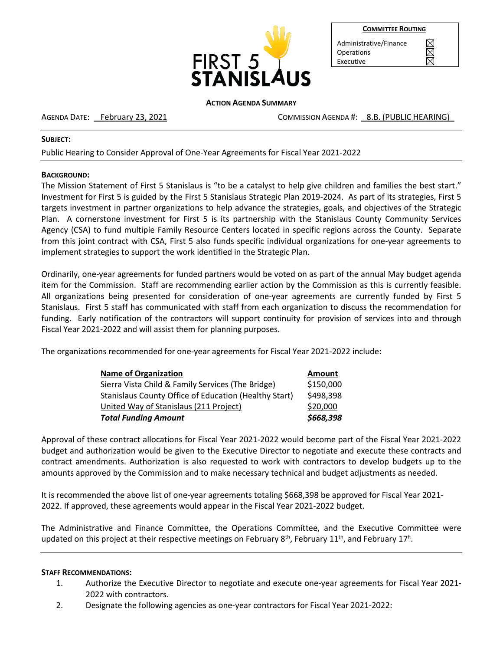

| <b>COMMITTEE ROUTING</b> |
|--------------------------|
|--------------------------|

Administrative/Finance **Operations** Executive

#### **ACTION AGENDA SUMMARY**

AGENDA DATE: February 23, 2021 COMMISSION AGENDA #: 8.B. (PUBLIC HEARING)

### **SUBJECT:**

Public Hearing to Consider Approval of One-Year Agreements for Fiscal Year 2021-2022

# **BACKGROUND:**

The Mission Statement of First 5 Stanislaus is "to be a catalyst to help give children and families the best start." Investment for First 5 is guided by the First 5 Stanislaus Strategic Plan 2019-2024. As part of its strategies, First 5 targets investment in partner organizations to help advance the strategies, goals, and objectives of the Strategic Plan. A cornerstone investment for First 5 is its partnership with the Stanislaus County Community Services Agency (CSA) to fund multiple Family Resource Centers located in specific regions across the County. Separate from this joint contract with CSA, First 5 also funds specific individual organizations for one-year agreements to implement strategies to support the work identified in the Strategic Plan.

Ordinarily, one-year agreements for funded partners would be voted on as part of the annual May budget agenda item for the Commission. Staff are recommending earlier action by the Commission as this is currently feasible. All organizations being presented for consideration of one-year agreements are currently funded by First 5 Stanislaus. First 5 staff has communicated with staff from each organization to discuss the recommendation for funding. Early notification of the contractors will support continuity for provision of services into and through Fiscal Year 2021-2022 and will assist them for planning purposes.

The organizations recommended for one-year agreements for Fiscal Year 2021-2022 include:

| <b>Name of Organization</b>                           | <b>Amount</b> |
|-------------------------------------------------------|---------------|
| Sierra Vista Child & Family Services (The Bridge)     | \$150,000     |
| Stanislaus County Office of Education (Healthy Start) | \$498,398     |
| United Way of Stanislaus (211 Project)                | \$20,000      |
| <b>Total Funding Amount</b>                           | \$668,398     |

Approval of these contract allocations for Fiscal Year 2021-2022 would become part of the Fiscal Year 2021-2022 budget and authorization would be given to the Executive Director to negotiate and execute these contracts and contract amendments. Authorization is also requested to work with contractors to develop budgets up to the amounts approved by the Commission and to make necessary technical and budget adjustments as needed.

It is recommended the above list of one-year agreements totaling \$668,398 be approved for Fiscal Year 2021- 2022. If approved, these agreements would appear in the Fiscal Year 2021-2022 budget.

The Administrative and Finance Committee, the Operations Committee, and the Executive Committee were updated on this project at their respective meetings on February 8<sup>th</sup>, February 11<sup>th</sup>, and February 17<sup>h</sup>.

### **STAFF RECOMMENDATIONS:**

- 1. Authorize the Executive Director to negotiate and execute one-year agreements for Fiscal Year 2021- 2022 with contractors.
- 2. Designate the following agencies as one-year contractors for Fiscal Year 2021-2022: